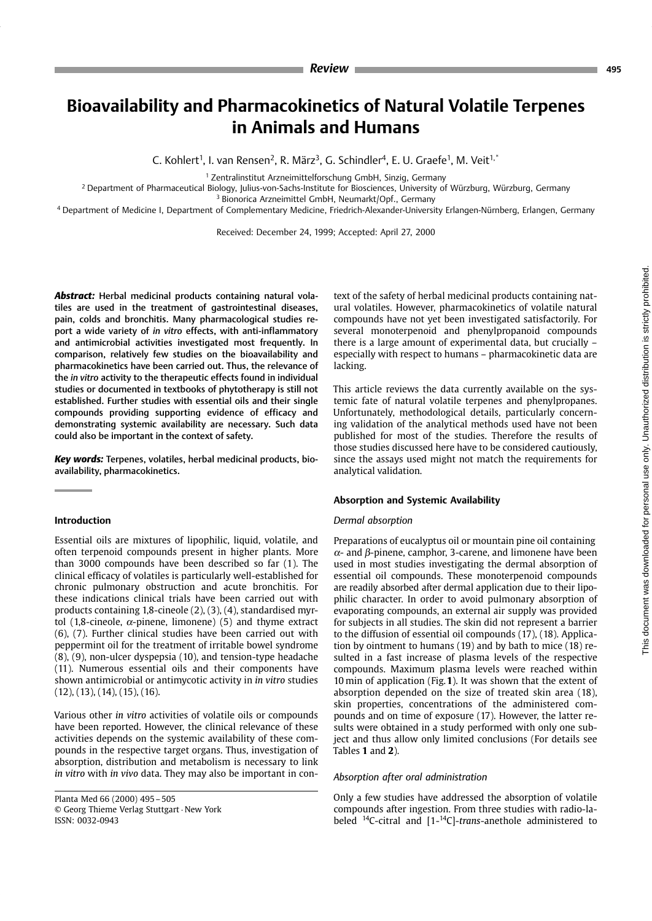# **Bioavailability and Pharmacokinetics of Natural Volatile Terpenes** in Animals and Humans

C. Kohlert<sup>1</sup>, I. van Rensen<sup>2</sup>, R. März<sup>3</sup>, G. Schindler<sup>4</sup>, E. U. Graefe<sup>1</sup>, M. Veit<sup>1,\*</sup>

<sup>1</sup> Zentralinstitut Arzneimittelforschung GmbH, Sinzig, Germany

<sup>2</sup> Department of Pharmaceutical Biology, Julius-von-Sachs-Institute for Biosciences, University of Würzburg, Würzburg, Germany <sup>3</sup> Bionorica Arzneimittel GmbH, Neumarkt/Opf., Germany

4 Department of Medicine I, Department of Complementary Medicine, Friedrich-Alexander-University Erlangen-Nürnberg, Erlangen, Germany

Received: December 24, 1999; Accepted: April 27, 2000

Abstract: Herbal medicinal products containing natural volatiles are used in the treatment of gastrointestinal diseases, pain, colds and bronchitis. Many pharmacological studies report a wide variety of in vitro effects, with anti-inflammatory and antimicrobial activities investigated most frequently. In comparison, relatively few studies on the bioavailability and pharmacokinetics have been carried out. Thus, the relevance of the in vitro activity to the therapeutic effects found in individual studies or documented in textbooks of phytotherapy is still not established. Further studies with essential oils and their single compounds providing supporting evidence of efficacy and demonstrating systemic availability are necessary. Such data could also be important in the context of safety.

Key words: Terpenes, volatiles, herbal medicinal products, bioavailability, pharmacokinetics.

## Introduction

Essential oils are mixtures of lipophilic, liquid, volatile, and often terpenoid compounds present in higher plants. More than 3000 compounds have been described so far (1). The clinical efficacy of volatiles is particularly well-established for chronic pulmonary obstruction and acute bronchitis. For these indications clinical trials have been carried out with products containing 1,8-cineole (2), (3), (4), standardised myrtol (1,8-cineole,  $\alpha$ -pinene, limonene) (5) and thyme extract (6), (7). Further clinical studies have been carried out with peppermint oil for the treatment of irritable bowel syndrome (8), (9), non-ulcer dyspepsia (10), and tension-type headache (11). Numerous essential oils and their components have shown antimicrobial or antimycotic activity in in vitro studies  $(12)$ ,  $(13)$ ,  $(14)$ ,  $(15)$ ,  $(16)$ .

Various other in vitro activities of volatile oils or compounds have been reported. However, the clinical relevance of these activities depends on the systemic availability of these compounds in the respective target organs. Thus, investigation of absorption, distribution and metabolism is necessary to link in vitro with in vivo data. They may also be important in con-

Planta Med 66 (2000) 495 - 505 © Georg Thieme Verlag Stuttgart · New York ISSN: 0032-0943

text of the safety of herbal medicinal products containing natural volatiles. However, pharmacokinetics of volatile natural compounds have not yet been investigated satisfactorily. For several monoterpenoid and phenylpropanoid compounds there is a large amount of experimental data, but crucially – especially with respect to humans - pharmacokinetic data are lacking.

This article reviews the data currently available on the systemic fate of natural volatile terpenes and phenylpropanes. Unfortunately, methodological details, particularly concerning validation of the analytical methods used have not been published for most of the studies. Therefore the results of those studies discussed here have to be considered cautiously, since the assays used might not match the requirements for analytical validation.

# Absorption and Systemic Availability

#### Dermal absorption

Preparations of eucalyptus oil or mountain pine oil containing  $\alpha$ - and  $\beta$ -pinene, camphor, 3-carene, and limonene have been used in most studies investigating the dermal absorption of essential oil compounds. These monoterpenoid compounds are readily absorbed after dermal application due to their lipophilic character. In order to avoid pulmonary absorption of evaporating compounds, an external air supply was provided for subjects in all studies. The skin did not represent a barrier to the diffusion of essential oil compounds (17), (18). Application by ointment to humans (19) and by bath to mice (18) resulted in a fast increase of plasma levels of the respective compounds. Maximum plasma levels were reached within 10 min of application (Fig.  $1$ ). It was shown that the extent of absorption depended on the size of treated skin area (18), skin properties, concentrations of the administered compounds and on time of exposure (17). However, the latter results were obtained in a study performed with only one subject and thus allow only limited conclusions (For details see Tables 1 and 2).

#### Absorption after oral administration

Only a few studies have addressed the absorption of volatile compounds after ingestion. From three studies with radio-labeled <sup>14</sup>C-citral and [1-<sup>14</sup>C]-trans-anethole administered to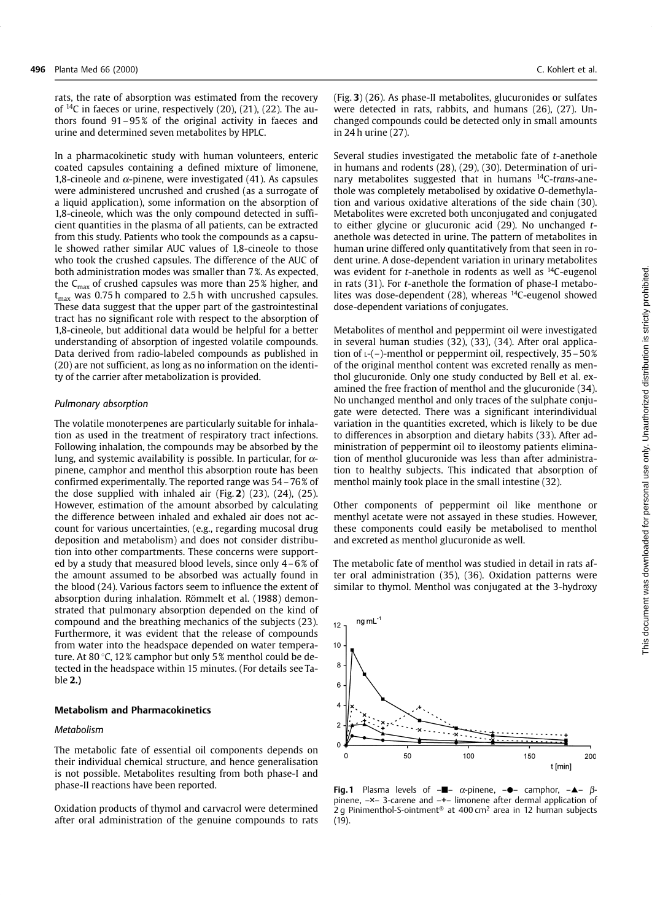rats, the rate of absorption was estimated from the recovery of  ${}^{14}C$  in faeces or urine, respectively (20), (21), (22). The authors found  $91-95\%$  of the original activity in faeces and urine and determined seven metabolites by HPLC.

In a pharmacokinetic study with human volunteers, enteric coated capsules containing a defined mixture of limonene, 1,8-cineole and  $\alpha$ -pinene, were investigated (41). As capsules were administered uncrushed and crushed (as a surrogate of a liquid application), some information on the absorption of 1,8-cineole, which was the only compound detected in sufficient quantities in the plasma of all patients, can be extracted from this study. Patients who took the compounds as a capsule showed rather similar AUC values of 1.8-cineole to those who took the crushed capsules. The difference of the AUC of both administration modes was smaller than 7%. As expected, the  $C_{\text{max}}$  of crushed capsules was more than 25% higher, and  $t_{max}$  was 0.75 h compared to 2.5 h with uncrushed capsules. These data suggest that the upper part of the gastrointestinal tract has no significant role with respect to the absorption of 1,8-cineole, but additional data would be helpful for a better understanding of absorption of ingested volatile compounds. Data derived from radio-labeled compounds as published in (20) are not sufficient, as long as no information on the identity of the carrier after metabolization is provided.

## Pulmonary absorption

The volatile monoterpenes are particularly suitable for inhalation as used in the treatment of respiratory tract infections. Following inhalation, the compounds may be absorbed by the lung, and systemic availability is possible. In particular, for  $\alpha$ pinene, camphor and menthol this absorption route has been confirmed experimentally. The reported range was 54 – 76% of the dose supplied with inhaled air (Fig. 2)  $(23)$ ,  $(24)$ ,  $(25)$ . However, estimation of the amount absorbed by calculating the difference between inhaled and exhaled air does not account for various uncertainties, (e.g., regarding mucosal drug deposition and metabolism) and does not consider distribution into other compartments. These concerns were supported by a study that measured blood levels, since only  $4-6\%$  of the amount assumed to be absorbed was actually found in the blood (24). Various factors seem to influence the extent of absorption during inhalation. Römmelt et al. (1988) demonstrated that pulmonary absorption depended on the kind of compound and the breathing mechanics of the subjects (23). Furthermore, it was evident that the release of compounds from water into the headspace depended on water temperature. At 80 °C, 12% camphor but only 5% menthol could be detected in the headspace within 15 minutes. (For details see Table 2.)

#### **Metabolism and Pharmacokinetics**

#### Metabolism

The metabolic fate of essential oil components depends on their individual chemical structure, and hence generalisation is not possible. Metabolites resulting from both phase-I and phase-II reactions have been reported.

Oxidation products of thymol and carvacrol were determined after oral administration of the genuine compounds to rats

(Fig. 3) (26). As phase-II metabolites, glucuronides or sulfates were detected in rats, rabbits, and humans (26), (27). Unchanged compounds could be detected only in small amounts in 24 h urine (27).

Several studies investigated the metabolic fate of t-anethole in humans and rodents (28), (29), (30). Determination of urinary metabolites suggested that in humans <sup>14</sup>C-trans-anethole was completely metabolised by oxidative O-demethylation and various oxidative alterations of the side chain (30). Metabolites were excreted both unconjugated and conjugated to either glycine or glucuronic acid (29). No unchanged tanethole was detected in urine. The pattern of metabolites in human urine differed only quantitatively from that seen in rodent urine. A dose-dependent variation in urinary metabolites was evident for *t*-anethole in rodents as well as  $^{14}$ C-eugenol in rats (31). For t-anethole the formation of phase-I metabolites was dose-dependent (28), whereas <sup>14</sup>C-eugenol showed dose-dependent variations of conjugates.

Metabolites of menthol and peppermint oil were investigated in several human studies (32), (33), (34). After oral application of  $L$ -(-)-menthol or peppermint oil, respectively,  $35 - 50\%$ of the original menthol content was excreted renally as menthol glucuronide. Only one study conducted by Bell et al. examined the free fraction of menthol and the glucuronide (34). No unchanged menthol and only traces of the sulphate conjugate were detected. There was a significant interindividual variation in the quantities excreted, which is likely to be due to differences in absorption and dietary habits (33). After administration of peppermint oil to ileostomy patients elimination of menthol glucuronide was less than after administration to healthy subjects. This indicated that absorption of menthol mainly took place in the small intestine (32).

Other components of peppermint oil like menthone or menthyl acetate were not assayed in these studies. However, these components could easily be metabolised to menthol and excreted as menthol glucuronide as well.

The metabolic fate of menthol was studied in detail in rats after oral administration (35), (36). Oxidation patterns were similar to thymol. Menthol was conjugated at the 3-hydroxy

t [min] Fig.1 Plasma levels of  $-\blacksquare - \alpha$ -pinene,  $-\spadesuit - \alpha$  camphor,  $-\spadesuit - \beta$ pinene,  $-x$  - 3-carene and  $-$ +- limonene after dermal application of 2 q Pinimenthol-S-ointment<sup>®</sup> at  $400 \text{ cm}^2$  area in 12 human subjects

 $(19)$ .

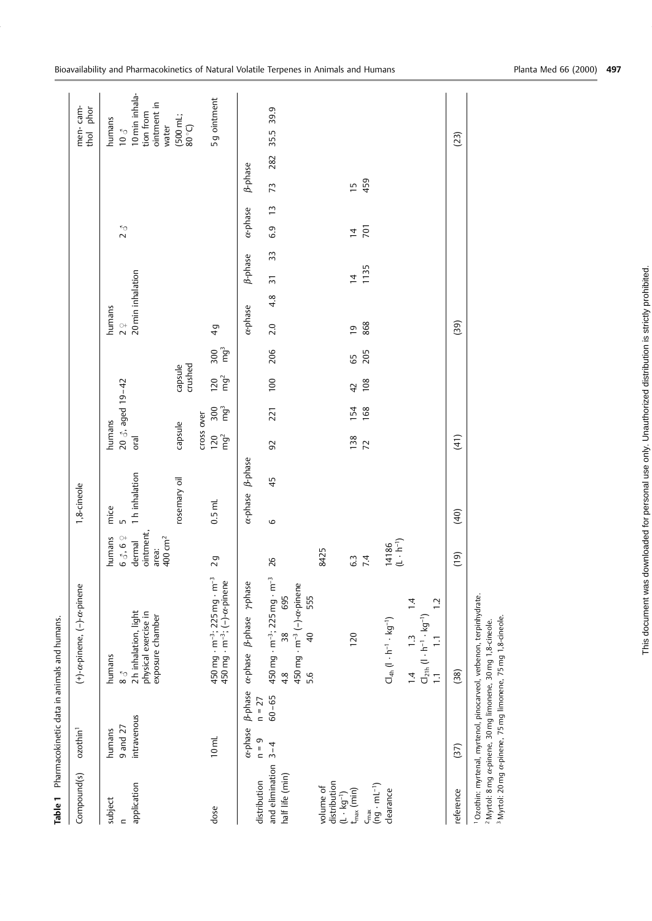|                                                             |                                                   | Table 1 Pharmacokinetic data in animals and humans.                                                                                                      |                                                     |                 |                        |                        |                                                  |                               |                   |                       |                    |                |     |                                                     |
|-------------------------------------------------------------|---------------------------------------------------|----------------------------------------------------------------------------------------------------------------------------------------------------------|-----------------------------------------------------|-----------------|------------------------|------------------------|--------------------------------------------------|-------------------------------|-------------------|-----------------------|--------------------|----------------|-----|-----------------------------------------------------|
| Compound(s)                                                 | ozothin <sup>1</sup>                              | $(+)$ - $\alpha$ -pinene, $(-)$ - $\alpha$ -pinene                                                                                                       |                                                     | 1,8-cineole     |                        |                        |                                                  |                               |                   |                       |                    |                |     | men-cam-<br>thol phor                               |
| subject                                                     | humans                                            | humans                                                                                                                                                   | humans                                              | mice            | humans                 |                        |                                                  | humans                        |                   |                       |                    |                |     | humans                                              |
| $\mathbf{r}$                                                | 9 and 27                                          | $^{\circ}_{\infty}$ 8                                                                                                                                    | 63.69                                               | LO              |                        | 20 $3.$ aged 19-42     |                                                  | $\overset{\circ}{\mathbf{2}}$ |                   |                       | $\sum_{\zeta}$     |                |     | $\stackrel{<}{\circ} 01$                            |
| application                                                 | intravenous                                       | 2h inhalation, light<br>physical exercise in<br>exposure chamber                                                                                         | ointment,<br>400 cm <sup>2</sup><br>dermal<br>area: | 1 h inhalation  | oral                   |                        |                                                  |                               | 20 min inhalation |                       |                    |                |     | 10 min inhala-<br>ointment in<br>tion from<br>water |
|                                                             |                                                   |                                                                                                                                                          |                                                     | rosemary oil    | capsule                |                        | capsule<br>crushed                               |                               |                   |                       |                    |                |     | (500 mL;<br>(50.08)                                 |
|                                                             |                                                   |                                                                                                                                                          |                                                     |                 | cross over             |                        |                                                  |                               |                   |                       |                    |                |     |                                                     |
| dose                                                        | $10 \text{ mL}$                                   | 450 mg $\cdot$ m <sup>-3</sup> ; 225 mg $\cdot$ m <sup>-3</sup><br>450 mg $\cdot$ m <sup>-3</sup> ; (-)- $\alpha$ -pinene                                | $\overline{2}$ g                                    | $0.5$ mL        | mg <sup>2</sup><br>120 | mg <sup>3</sup><br>300 | mg <sup>3</sup><br>300<br>mg <sup>2</sup><br>120 | $\frac{1}{4}$                 |                   |                       |                    |                |     | 5g ointment                                         |
| distribution                                                | B-phase<br>$n = 27$<br>$\alpha$ -phase<br>$n = 9$ | a-phase <i>B</i> -phase <i>y</i> -phase                                                                                                                  |                                                     | a-phase B-phase |                        |                        |                                                  | $\alpha$ -phase               |                   | <b><i>B</i>-phase</b> | $\alpha$ -phase    | <b>B-phase</b> |     |                                                     |
|                                                             |                                                   |                                                                                                                                                          |                                                     |                 |                        |                        |                                                  |                               |                   |                       |                    |                |     |                                                     |
| and elimination<br>half life (min)                          | $60 - 65$<br>$3 - 4$                              | $450$ mg $\cdot$ m <sup>-3</sup> ; 225 mg $\cdot$ m <sup>-3</sup><br>695<br>38<br>4.8                                                                    | 26                                                  | 45<br>6         | 56                     | 221                    | 206<br>100                                       | 2.0                           | 4.8               | 33<br>$\overline{5}$  | $\tilde{c}$<br>6.9 | 73             | 282 | 39.9<br>35.5                                        |
|                                                             |                                                   | 450 mg $\cdot$ m <sup>-3</sup> (-)- $\alpha$ -pinene<br>555<br>$\overline{4}$<br>5.6                                                                     |                                                     |                 |                        |                        |                                                  |                               |                   |                       |                    |                |     |                                                     |
| volume of                                                   |                                                   |                                                                                                                                                          | 8425                                                |                 |                        |                        |                                                  |                               |                   |                       |                    |                |     |                                                     |
| distribution                                                |                                                   |                                                                                                                                                          |                                                     |                 |                        |                        |                                                  |                               |                   |                       |                    |                |     |                                                     |
| $(L \cdot kg^{-1})$<br>$t_{max}$ (min)                      |                                                   | 120                                                                                                                                                      | 63                                                  |                 | 138                    | 154                    | 65<br>$\overline{4}$                             | $\overline{0}$                |                   | $\overline{4}$        | $\overline{4}$     | $\overline{1}$ |     |                                                     |
| $\begin{pmatrix}$ max<br>$(ng \cdot mL^{-1}) \end{pmatrix}$ |                                                   |                                                                                                                                                          | 7.4                                                 |                 | 72                     | 168                    | 205<br>108                                       | 868                           |                   | 1135                  | 701                | 459            |     |                                                     |
| clearance                                                   |                                                   | $\mathsf{CI}_{4h}$ ( $\mathsf{I}\cdot\mathsf{h}^{-1}\cdot\mathsf{kg}^{-1}$ )                                                                             | $( L \cdot h^{-1} )$<br>14186                       |                 |                        |                        |                                                  |                               |                   |                       |                    |                |     |                                                     |
|                                                             |                                                   |                                                                                                                                                          |                                                     |                 |                        |                        |                                                  |                               |                   |                       |                    |                |     |                                                     |
|                                                             |                                                   | 1.4 1.3 1.4<br>$Q_{21h}$ (l · h <sup>-1</sup> · kg <sup>-1</sup> )<br>1.1 1.1 1.2                                                                        |                                                     |                 |                        |                        |                                                  |                               |                   |                       |                    |                |     |                                                     |
|                                                             |                                                   |                                                                                                                                                          |                                                     |                 |                        |                        |                                                  |                               |                   |                       |                    |                |     |                                                     |
| reference                                                   | (37)                                              | (38)                                                                                                                                                     | (19)                                                | (40)            | (41)                   |                        |                                                  | (39)                          |                   |                       |                    |                |     | (23)                                                |
|                                                             |                                                   | <sup>1</sup> Ozothin: myrtenal, myrtenol, pinocarveol, verbenon, terpinhydrate.<br>$2$ Myrtol: 8 mg $\alpha$ -pinene, 30 mg limonene, 30 mg 1,8-cineole. |                                                     |                 |                        |                        |                                                  |                               |                   |                       |                    |                |     |                                                     |

m

<sup>3</sup> Myrtol: 20 mg

 $\alpha$ -pinene, 75 mg limonene, 75 mg 1

.8-cineole.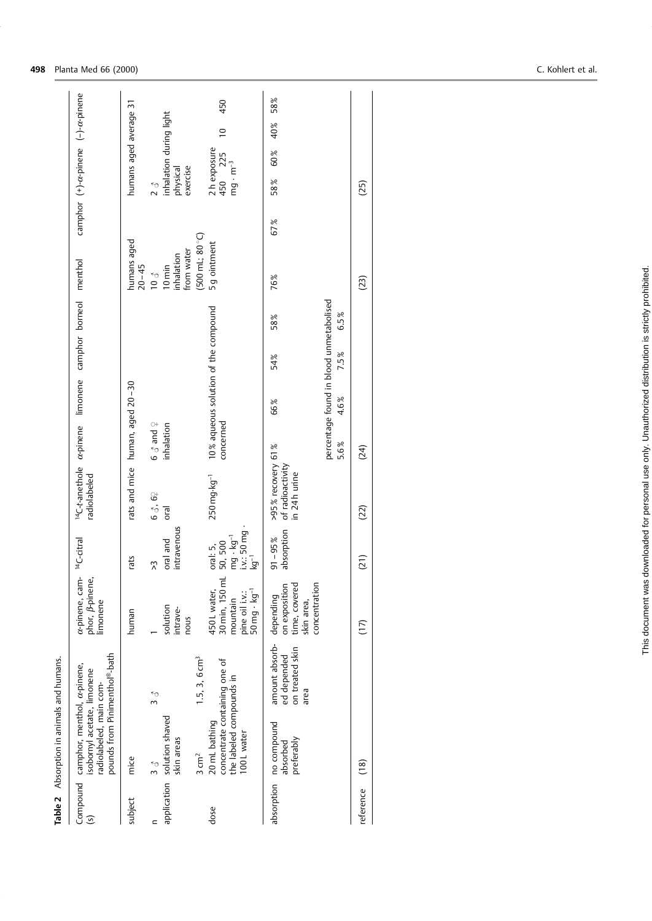|                | Table 2 Absorption in animals and humans.                                                                                       |                                                          |                                                                                          |                                                                                        |                                                                                      |                    |      |                                                         |                                         |     |                                                  |                       |            |  |
|----------------|---------------------------------------------------------------------------------------------------------------------------------|----------------------------------------------------------|------------------------------------------------------------------------------------------|----------------------------------------------------------------------------------------|--------------------------------------------------------------------------------------|--------------------|------|---------------------------------------------------------|-----------------------------------------|-----|--------------------------------------------------|-----------------------|------------|--|
| $\overline{S}$ | pounds from Pinimenthol®-bath<br>Compound camphor, menthol, a-pinene,<br>isobornyl acetate, limonene<br>radiolabeled, main com- |                                                          | a-pinene, cam-<br>phor, <i>B</i> -pinene,<br>limonene                                    | <sup>14</sup> C-citral                                                                 | <sup>14</sup> C-t-anethole a-pinene limonene camphor borneol menthol<br>radiolabeled |                    |      |                                                         |                                         |     | camphor (+)-a-pinene (-)-a-pinene                |                       |            |  |
| subject        | mice                                                                                                                            |                                                          | human                                                                                    | rats                                                                                   | rats and mice human, aged 20-30                                                      |                    |      |                                                         | humans aged<br>$20 - 45$                |     | humans aged average 31                           |                       |            |  |
| $\mathbf{r}$   | ξ<br>δ                                                                                                                          | ر<br>ول                                                  |                                                                                          | Y                                                                                      | 6 3, 62                                                                              | $6 \delta$ and $9$ |      |                                                         | $\frac{8}{3}$                           |     | $\frac{5}{2}$                                    |                       |            |  |
|                | application solution shaved<br>skin areas                                                                                       |                                                          | solution<br>intrave-<br>nous                                                             | intravenous<br>oral and                                                                | oral                                                                                 | inhalation         |      |                                                         | from water<br>inhalation<br>$10$ min    |     | inhalation during light<br>exercise<br>physical  |                       |            |  |
|                | 3 cm <sup>2</sup>                                                                                                               | $1.5, 3, 6$ cm <sup>3</sup>                              |                                                                                          |                                                                                        |                                                                                      |                    |      |                                                         | $(500 \text{ mL}; 80^{\circ} \text{C})$ |     |                                                  |                       |            |  |
| dose           | concentrate containing one of<br>the labeled compounds in<br>20 mL bathing<br>100L water                                        |                                                          | 30 min, 150 ml<br>50 mg - kg <sup>-1</sup><br>450 L water,<br>pine oil i.v.:<br>mountain | mg $\cdot$ kg <sup>-1</sup><br>i.v.: 50 mg $\cdot$<br>oral: 5,<br>50, 500<br>$kg^{-1}$ | 250 mg·kg <sup>-1</sup>                                                              | concerned          |      | 10% aqueous solution of the compound                    | 5g ointment                             |     | $2 h$ exposure<br>450 $225$<br>$mg \cdot m^{-3}$ | $\overline{0}$<br>225 | 450        |  |
|                | absorption no compound<br>preferably<br>absorbed                                                                                | amount absorb-<br>on treated skin<br>ed depended<br>area | concentration<br>time, covered<br>on exposition<br>depending<br>skin area,               | absorption<br>$91 - 95%$                                                               | >95% recovery 61%<br>of radioactivity<br>in 24h urine                                |                    | 66%  | 58%<br>54%                                              | 76%                                     | 67% | 58%                                              | 60%                   | 58%<br>40% |  |
|                |                                                                                                                                 |                                                          |                                                                                          |                                                                                        |                                                                                      | 5.6%               | 4.6% | percentage found in blood unmetabolised<br>6.5%<br>7.5% |                                         |     |                                                  |                       |            |  |
| reference      | (18)                                                                                                                            |                                                          | (17)                                                                                     | (21)                                                                                   | (22)                                                                                 | (24)               |      |                                                         | (23)                                    |     | (25)                                             |                       |            |  |
|                |                                                                                                                                 |                                                          |                                                                                          |                                                                                        |                                                                                      |                    |      |                                                         |                                         |     |                                                  |                       |            |  |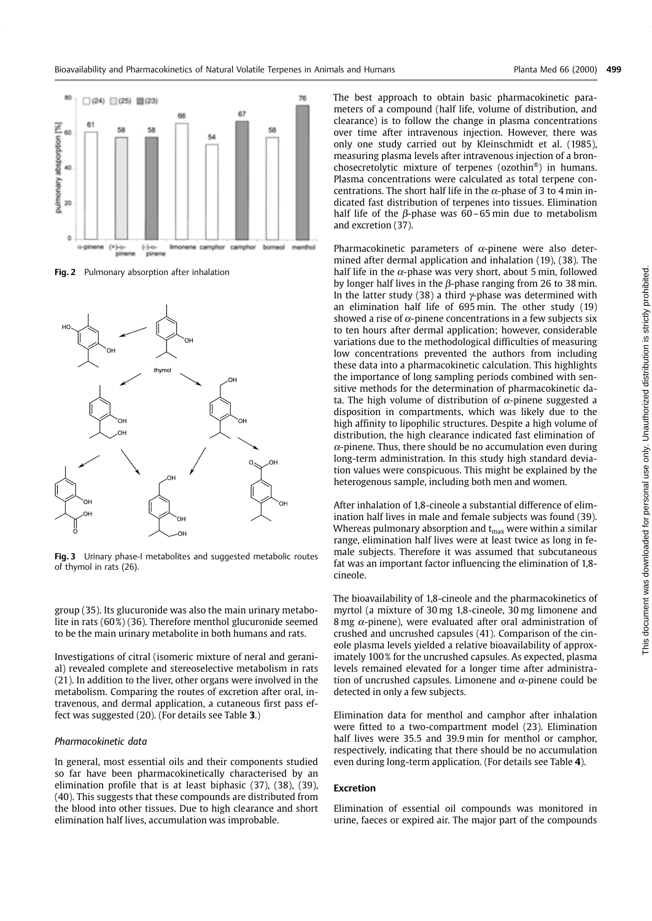

Fig. 2 Pulmonary absorption after inhalation



Fig. 3 Urinary phase-I metabolites and suggested metabolic routes of thymol in rats (26).

group (35). Its glucuronide was also the main urinary metabolite in rats (60%) (36). Therefore menthol glucuronide seemed to be the main urinary metabolite in both humans and rats.

Investigations of citral (isomeric mixture of neral and geranial) revealed complete and stereoselective metabolism in rats (21). In addition to the liver, other organs were involved in the metabolism. Comparing the routes of excretion after oral, intravenous, and dermal application, a cutaneous first pass effect was suggested (20). (For details see Table 3.)

## Pharmacokinetic data

In general, most essential oils and their components studied so far have been pharmacokinetically characterised by an elimination profile that is at least biphasic (37), (38), (39), (40). This suggests that these compounds are distributed from the blood into other tissues. Due to high clearance and short elimination half lives, accumulation was improbable.

The best approach to obtain basic pharmacokinetic parameters of a compound (half life, volume of distribution, and clearance) is to follow the change in plasma concentrations over time after intravenous injection. However, there was only one study carried out by Kleinschmidt et al. (1985), measuring plasma levels after intravenous injection of a bronchosecretolytic mixture of terpenes (ozothin®) in humans. Plasma concentrations were calculated as total terpene concentrations. The short half life in the  $\alpha$ -phase of 3 to 4 min indicated fast distribution of terpenes into tissues. Elimination half life of the  $\beta$ -phase was 60-65 min due to metabolism and excretion (37).

Pharmacokinetic parameters of  $\alpha$ -pinene were also determined after dermal application and inhalation (19), (38). The half life in the  $\alpha$ -phase was very short, about 5 min, followed by longer half lives in the  $\beta$ -phase ranging from 26 to 38 min. In the latter study (38) a third  $\gamma$ -phase was determined with an elimination half life of 695 min. The other study (19) showed a rise of  $\alpha$ -pinene concentrations in a few subjects six to ten hours after dermal application; however, considerable variations due to the methodological difficulties of measuring low concentrations prevented the authors from including these data into a pharmacokinetic calculation. This highlights the importance of long sampling periods combined with sensitive methods for the determination of pharmacokinetic data. The high volume of distribution of  $\alpha$ -pinene suggested a disposition in compartments, which was likely due to the high affinity to lipophilic structures. Despite a high volume of distribution, the high clearance indicated fast elimination of  $\alpha$ -pinene. Thus, there should be no accumulation even during long-term administration. In this study high standard deviation values were conspicuous. This might be explained by the heterogenous sample, including both men and women.

After inhalation of 1,8-cineole a substantial difference of elimination half lives in male and female subjects was found (39). Whereas pulmonary absorption and  $t_{max}$  were within a similar range, elimination half lives were at least twice as long in female subjects. Therefore it was assumed that subcutaneous fat was an important factor influencing the elimination of 1,8cineole.

The bioavailability of 1,8-cineole and the pharmacokinetics of myrtol (a mixture of 30 mg 1,8-cineole, 30 mg limonene and 8 mg  $\alpha$ -pinene), were evaluated after oral administration of crushed and uncrushed capsules (41). Comparison of the cineole plasma levels yielded a relative bioavailability of approximately 100% for the uncrushed capsules. As expected, plasma levels remained elevated for a longer time after administration of uncrushed capsules. Limonene and  $\alpha$ -pinene could be detected in only a few subjects.

Elimination data for menthol and camphor after inhalation were fitted to a two-compartment model (23). Elimination half lives were 35.5 and 39.9 min for menthol or camphor, respectively, indicating that there should be no accumulation even during long-term application. (For details see Table 4).

## **Excretion**

Elimination of essential oil compounds was monitored in urine, faeces or expired air. The major part of the compounds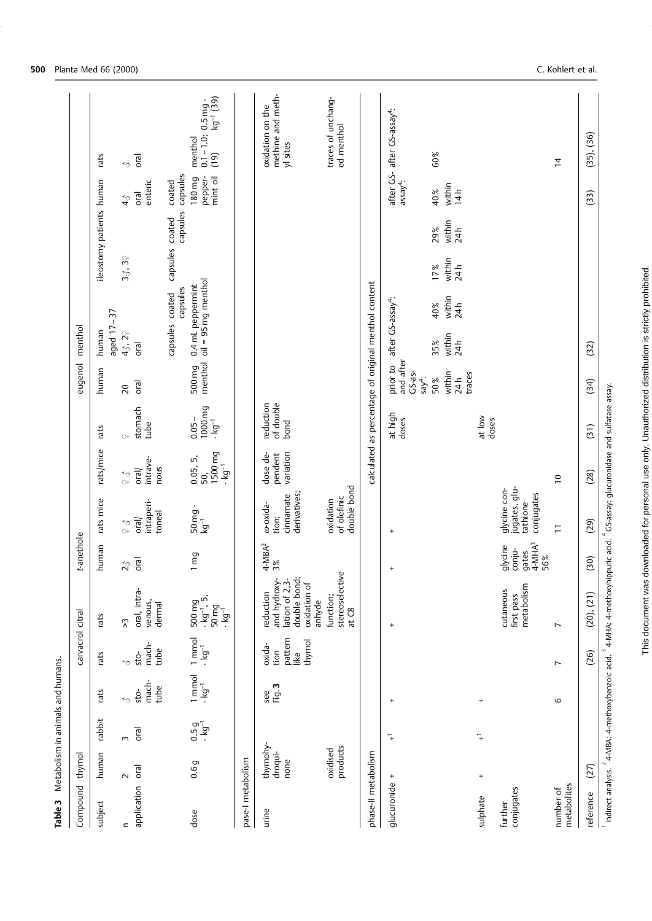| Table 3                  | Metabolism in animals and humans. |                                    |                                |                                             |                                                                                                                                                                     |                                               |                                                         |                                        |                                             |                                                            |                                                      |                          |                                     |                                   |                                                                   |
|--------------------------|-----------------------------------|------------------------------------|--------------------------------|---------------------------------------------|---------------------------------------------------------------------------------------------------------------------------------------------------------------------|-----------------------------------------------|---------------------------------------------------------|----------------------------------------|---------------------------------------------|------------------------------------------------------------|------------------------------------------------------|--------------------------|-------------------------------------|-----------------------------------|-------------------------------------------------------------------|
| Compound                 | thymol                            |                                    |                                | carvacrol citral                            |                                                                                                                                                                     | t-anethole                                    |                                                         |                                        |                                             | eugenol                                                    | menthol                                              |                          |                                     |                                   |                                                                   |
| subject                  | human                             | rabbit                             | rats                           | rats                                        | rats                                                                                                                                                                | human                                         | rats mice                                               | rats/mice                              | rats                                        | human                                                      | $-37$<br>aged 17-<br>human                           | ileostomy patients human |                                     |                                   | rats                                                              |
| $\equiv$                 | $\sim$                            | $\sim$                             | ੂ                              | ≮ე                                          | $\tilde{\lambda}$                                                                                                                                                   | $\mathcal{L}_{\mathcal{O}}$                   | $\begin{array}{c} 7 \ 6 \ \hline \end{array}$           | $\begin{array}{c} 5 \ 6 \end{array}$   | $\circ$                                     | 20                                                         | 43, 2 <sup><math>\circ</math></sup>                  | 35.39                    | $\boldsymbol{\hat{q}}$              |                                   | ≮ე                                                                |
| application              | oral                              | <sub>D</sub> LO                    | mach-<br>tube<br>sto-          | mach-<br>tube<br>sto-                       | oral, intra-<br>venous,<br>dermal                                                                                                                                   | oral                                          | intraperi-<br>toneal<br>$\overline{\text{total}}$       | intrave-<br>nous<br>$ $ oral           | stomach<br>tube                             | Tral                                                       | oral                                                 |                          |                                     | enteric<br>oral                   | oral                                                              |
|                          |                                   |                                    |                                |                                             |                                                                                                                                                                     |                                               |                                                         |                                        |                                             |                                                            | capsules<br>capsules coated                          | capsules                 | capsules<br>$\operatorname{coated}$ | capsules<br>coated                |                                                                   |
| dose                     | 0.6g                              | $0.5g$<br>$\cdot$ kg <sup>-1</sup> | $\frac{1}{1}$<br>$\frac{1}{1}$ | 1 mmol<br>$\cdot$ kg <sup>-1</sup>          | $500 \,\mathrm{mg}$<br>$\cdot \,\mathrm{kg}^{-1}$ , 5,<br>$50 \, \text{mg}$<br>$\cdot \, \text{kg}^{-1}$                                                            | 1 mg                                          | 50 mg<br>্য<br>!ডু                                      | 1500 mg<br>0.05, 5,<br>$-5^{1}$<br>50, | 1000 mg<br>$0.05 -$<br>$\frac{1}{\sqrt{g}}$ | menthol<br>500 mg                                          | $oil = 95 mg$ menthol<br>0.4 mL peppermint           |                          |                                     | 180 mg<br>pepper-<br>mint oil     | kg <sup>-1</sup> (39)<br>$0.1 - 1.0; 0.5$ mg -<br>menthol<br>(19) |
| pase-1 metabolism        |                                   |                                    |                                |                                             |                                                                                                                                                                     |                                               |                                                         |                                        |                                             |                                                            |                                                      |                          |                                     |                                   |                                                                   |
| urine                    | thymohy-<br>droqui-<br>none       |                                    | Fig. 3<br>see                  | pattern<br>thymol<br>oxida-<br>tion<br>like | double bond;<br>lation of 2,3-<br>and hydroxy-<br>oxidation of<br>reduction<br>anhyde                                                                               | $4-MBA^2$<br>3%                               | derivatives;<br>cinnamate<br>w-oxida-<br>tion;          | dose de-<br>variation<br>pendent       | of double<br>reduction<br>bond              |                                                            |                                                      |                          |                                     |                                   | methine and meth-<br>oxidation on the<br>yl sites                 |
|                          | products<br>oxidised              |                                    |                                |                                             | stereoselective<br>function;<br>at C8                                                                                                                               |                                               | double bond<br>of olefinic<br>oxidation                 |                                        |                                             |                                                            |                                                      |                          |                                     |                                   | traces of unchang-<br>ed menthol                                  |
| phase-II metabolism      |                                   |                                    |                                |                                             |                                                                                                                                                                     |                                               |                                                         |                                        |                                             |                                                            | calculated as percentage of original menthol content |                          |                                     |                                   |                                                                   |
| glucuronide              | $^{+}$                            | $\overline{+}$                     | $^{+}$                         |                                             | $\left. +\right.$                                                                                                                                                   | $\ddot{}$                                     | $\ddot{}$                                               |                                        | at high<br>doses                            | and after<br>prior to<br>$CS-as-$<br>$s$ ay <sup>4</sup> : | after GS-assay <sup>4</sup> :                        |                          |                                     | after GS-<br>$\mathsf{assay}^4$ : | after GS-assay <sup>4</sup> :                                     |
|                          |                                   |                                    |                                |                                             |                                                                                                                                                                     |                                               |                                                         |                                        |                                             | within<br>traces<br>24h<br>50%                             | within<br>24h<br>40%<br>within<br>24h<br>35%         | within<br>24 h<br>17%    | within<br>24h<br>29%                | within<br>14h<br>40%              | 60%                                                               |
| sulphate                 | $^{+}$                            | 7                                  | $^{+}$                         |                                             |                                                                                                                                                                     |                                               |                                                         |                                        | at low<br>doses                             |                                                            |                                                      |                          |                                     |                                   |                                                                   |
| conjugates<br>further    |                                   |                                    |                                |                                             | metabolism<br>cutaneous<br>first pass                                                                                                                               | $4-MHA3$<br>glycine<br>conju-<br>gates<br>56% | jugates, glu-<br>glycine con-<br>conjugates<br>tathione |                                        |                                             |                                                            |                                                      |                          |                                     |                                   |                                                                   |
| metabolites<br>number of |                                   |                                    | 6                              | $\overline{ }$                              | $\overline{ }$                                                                                                                                                      |                                               | $\overline{1}$                                          | $\overline{\phantom{0}}$               |                                             |                                                            |                                                      |                          |                                     |                                   | $\overline{4}$                                                    |
| reference                | (27)                              |                                    |                                | (26)                                        | (20), (21)                                                                                                                                                          | (30)                                          | (29)                                                    | (28)                                   | (31)                                        | (34)                                                       | (32)                                                 |                          |                                     | (33)                              | (35), (36)                                                        |
|                          |                                   |                                    |                                |                                             | Indirect analysis. <sup>2</sup> 4 MBA: 4-methoxybenzoic acid. <sup>3</sup> 4 MHA: 4-methoxyhippuric acid. <sup>4</sup> GS-assay: glucuronidase and sulfatase assay. |                                               |                                                         |                                        |                                             |                                                            |                                                      |                          |                                     |                                   |                                                                   |

**500** Planta Med 66 (2000)

C. Kohlert et al.

This document was downloaded for personal use only. Unauthorized distribution is strictly prohibited.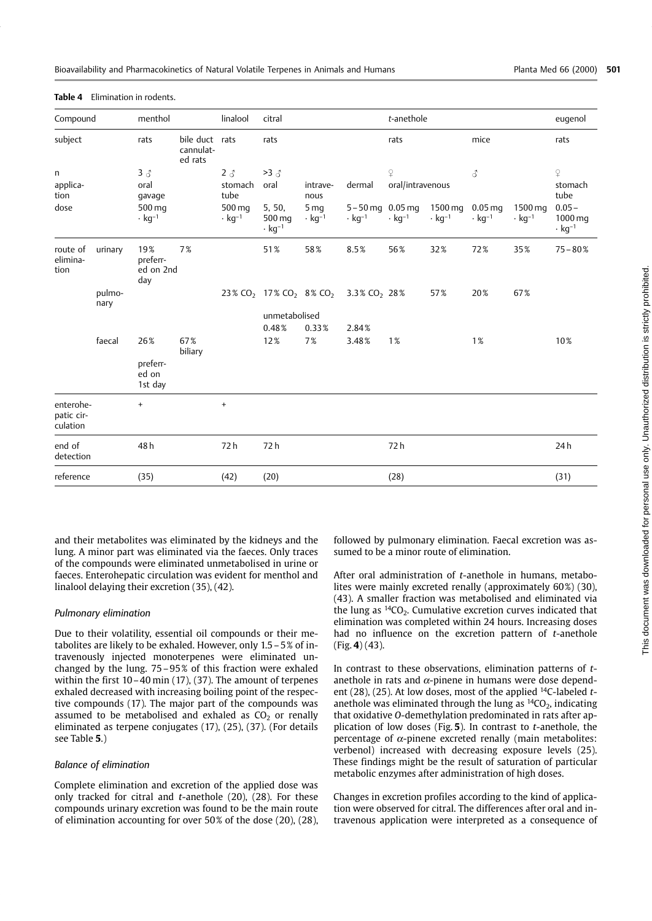| Compound                            |                | menthol                             |                                        | linalool                           | citral                                                     |                                             |                                                 | t-anethole                   |                                     |                                       |                                     | eugenol                                         |
|-------------------------------------|----------------|-------------------------------------|----------------------------------------|------------------------------------|------------------------------------------------------------|---------------------------------------------|-------------------------------------------------|------------------------------|-------------------------------------|---------------------------------------|-------------------------------------|-------------------------------------------------|
| subject                             |                | rats                                | bile duct rats<br>cannulat-<br>ed rats |                                    | rats                                                       |                                             |                                                 | rats                         |                                     | mice                                  |                                     | rats                                            |
| n<br>applica-<br>tion               |                | $3 \delta$<br>oral<br>gavage        |                                        | $2 \delta$<br>stomach<br>tube      | $>3\delta$<br>oral                                         | intrave-<br>nous                            | dermal                                          | $\Omega$<br>oral/intravenous |                                     | 3                                     |                                     | $\mathsf{P}$<br>stomach<br>tube                 |
| dose                                |                | 500 mg<br>$\cdot$ kg <sup>-1</sup>  |                                        | 500 mg<br>$\cdot$ kg <sup>-1</sup> | 5, 50,<br>500 mg<br>$\cdot$ kg <sup>-1</sup>               | 5 <sub>mg</sub><br>$\cdot$ kg <sup>-1</sup> | $5 - 50$ mg 0.05 mg<br>$\cdot$ kg <sup>-1</sup> | $\cdot$ kg <sup>-1</sup>     | 1500 mg<br>$\cdot$ kg <sup>-1</sup> | $0.05$ ma<br>$\cdot$ kg <sup>-1</sup> | 1500 mg<br>$\cdot$ kg <sup>-1</sup> | $0.05 -$<br>1000 mg<br>$\cdot$ kg <sup>-1</sup> |
| route of<br>elimina-<br>tion        | urinary        | 19%<br>preferr-<br>ed on 2nd<br>day | 7%                                     |                                    | 51%                                                        | 58%                                         | 8.5%                                            | 56%                          | 32%                                 | 72%                                   | 35%                                 | $75 - 80%$                                      |
|                                     | pulmo-<br>nary |                                     |                                        |                                    | 23% CO <sub>2</sub> 17% CO <sub>2</sub> 8% CO <sub>2</sub> |                                             | $3.3\%$ CO <sub>2</sub> 28%                     |                              | 57%                                 | 20%                                   | 67%                                 |                                                 |
|                                     |                |                                     |                                        |                                    | unmetabolised                                              |                                             |                                                 |                              |                                     |                                       |                                     |                                                 |
|                                     |                |                                     |                                        |                                    | 0.48%                                                      | 0.33%                                       | 2.84%                                           |                              |                                     |                                       |                                     |                                                 |
|                                     | faecal         | 26%                                 | 67%<br>biliary                         |                                    | 12%                                                        | 7%                                          | 3.48%                                           | 1%                           |                                     | 1%                                    |                                     | 10%                                             |
|                                     |                | preferr-<br>ed on<br>1st day        |                                        |                                    |                                                            |                                             |                                                 |                              |                                     |                                       |                                     |                                                 |
| enterohe-<br>patic cir-<br>culation |                | $+$                                 |                                        | $\ddot{}$                          |                                                            |                                             |                                                 |                              |                                     |                                       |                                     |                                                 |
| end of<br>detection                 |                | 48h                                 |                                        | 72h                                | 72 h                                                       |                                             |                                                 | 72 h                         |                                     |                                       |                                     | 24h                                             |
| reference                           |                | (35)                                |                                        | (42)                               | (20)                                                       |                                             |                                                 | (28)                         |                                     |                                       |                                     | (31)                                            |
|                                     |                |                                     |                                        |                                    |                                                            |                                             |                                                 |                              |                                     |                                       |                                     |                                                 |

Table 4 Elimination in rodents.

and their metabolites was eliminated by the kidneys and the lung. A minor part was eliminated via the faeces. Only traces of the compounds were eliminated unmetabolised in urine or faeces. Enterohepatic circulation was evident for menthol and linalool delaying their excretion (35), (42).

#### Pulmonary elimination

Due to their volatility, essential oil compounds or their metabolites are likely to be exhaled. However, only 1.5 - 5% of intravenously injected monoterpenes were eliminated unchanged by the lung.  $75-95\%$  of this fraction were exhaled within the first  $10 - 40$  min  $(17)$ ,  $(37)$ . The amount of terpenes exhaled decreased with increasing boiling point of the respective compounds (17). The major part of the compounds was assumed to be metabolised and exhaled as  $CO<sub>2</sub>$  or renally eliminated as terpene conjugates (17), (25), (37). (For details see Table 5.)

## **Balance of elimination**

Complete elimination and excretion of the applied dose was only tracked for citral and t-anethole (20), (28). For these compounds urinary excretion was found to be the main route of elimination accounting for over 50% of the dose (20), (28),

followed by pulmonary elimination. Faecal excretion was assumed to be a minor route of elimination.

After oral administration of t-anethole in humans, metabolites were mainly excreted renally (approximately 60%) (30), (43). A smaller fraction was metabolised and eliminated via the lung as  $14CO<sub>2</sub>$ . Cumulative excretion curves indicated that elimination was completed within 24 hours. Increasing doses had no influence on the excretion pattern of t-anethole  $(Fig. 4) (43)$ .

In contrast to these observations, elimination patterns of tanethole in rats and  $\alpha$ -pinene in humans were dose dependent (28), (25). At low doses, most of the applied  $^{14}$ C-labeled tanethole was eliminated through the lung as  ${}^{14}CO_2$ , indicating that oxidative O-demethylation predominated in rats after application of low doses (Fig.  $5$ ). In contrast to *t*-anethole, the percentage of  $\alpha$ -pinene excreted renally (main metabolites: verbenol) increased with decreasing exposure levels (25). These findings might be the result of saturation of particular metabolic enzymes after administration of high doses.

Changes in excretion profiles according to the kind of application were observed for citral. The differences after oral and intravenous application were interpreted as a consequence of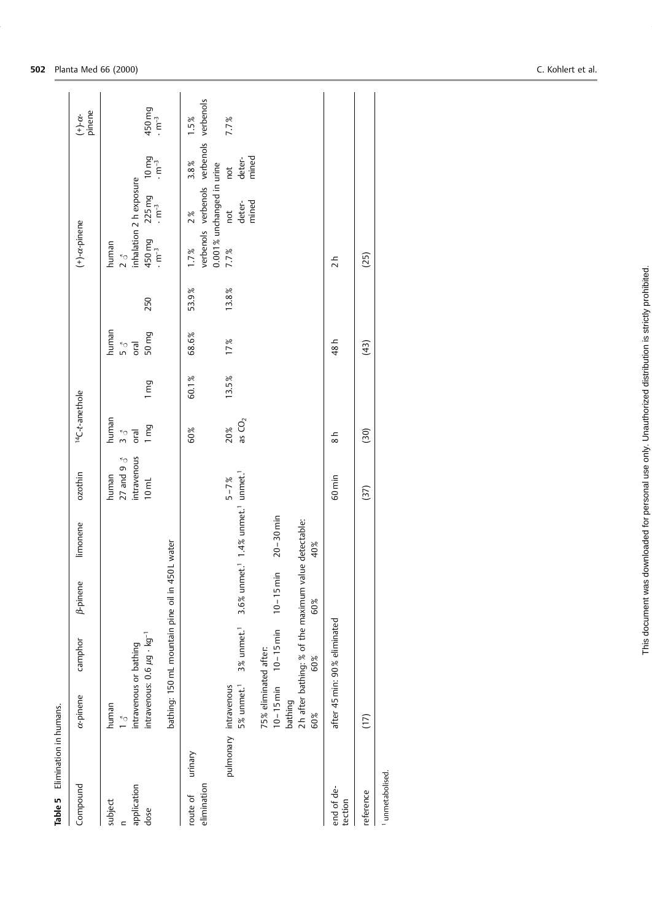| Elimination in humans.<br>Table 5  |                                                                                               |                                                              |                                                                              |                                                                                                     |                                                          |                                   |                  |                               |       |                                                                              |                                                               |                                                 |                                             |
|------------------------------------|-----------------------------------------------------------------------------------------------|--------------------------------------------------------------|------------------------------------------------------------------------------|-----------------------------------------------------------------------------------------------------|----------------------------------------------------------|-----------------------------------|------------------|-------------------------------|-------|------------------------------------------------------------------------------|---------------------------------------------------------------|-------------------------------------------------|---------------------------------------------|
| Compound                           | $\alpha$ -pinene                                                                              | camphor                                                      | <b><i>B-pinene</i></b>                                                       | limonene                                                                                            | ozothin                                                  | <sup>14</sup> C-t-anethole        |                  |                               |       | $(+)-\alpha$ -pinene                                                         |                                                               |                                                 | $(+)-\alpha$ -<br>pinene                    |
| application<br>subject<br>dose     | intravenous: $0.6 \mu g \cdot kg^{-1}$<br>intravenous or bathing<br>human<br>$\sum_{i=1}^{k}$ | bathing: 150 mL mountain pine oil in 4                       |                                                                              | <b>I50L</b> water                                                                                   | intravenous<br>27 and 9 $3$<br>human<br>10 <sub>ml</sub> | human<br>1 mg<br>$rac{1}{2}$ oral | $1 \, \text{mg}$ | human<br>50 mg<br>ielo<br>Plo | 250   | $450 \,\mathrm{mg}$<br>$\cdot \,\mathrm{m}^{-3}$<br>human<br>$\sum_{\gamma}$ | inhalation 2 h exposure<br>$225mg$<br>$\cdot$ m <sup>-3</sup> | $10 \, \text{mg}$<br>$\cdot \text{m}^{-3}$      | $450 \, \text{mg}$<br>$\cdot \text{m}^{-3}$ |
| urinary<br>elimination<br>route of |                                                                                               |                                                              |                                                                              |                                                                                                     |                                                          | 60%                               | 60.1%            | 68.6%                         | 53.9% | 1.7%                                                                         | 0.001% unchanged in urine<br>2%                               | verbenols verbenols verbenols verbenols<br>3.8% | $1.5\%$                                     |
|                                    | 75% eliminated after:<br>5% unmet. <sup>1</sup><br>pulmonary intravenous<br>bathing<br>60%    | 3% unmet. <sup>1</sup><br>$10 - 15$ min $10 - 15$ min<br>60% | 2h after bathing: % of the maximum value detectable:<br>$10 - 15$ min<br>60% | $3.6\%$ unmet. <sup>1</sup> $1.4\%$ unmet. <sup>1</sup> unmet. <sup>1</sup><br>$20 - 30$ min<br>40% | $5 - 7\%$                                                | as $CO2$<br>20%                   | 13.5%            | 17%                           | 13.8% | 7.7%                                                                         | deter-<br>mined<br>not                                        | deter-<br>mined<br>$_{\rm{net}}$                | 7.7%                                        |
| end of de-<br>tection              |                                                                                               | after 45 min: 90% eliminated                                 |                                                                              |                                                                                                     | 60 min                                                   | $\frac{8}{8}$                     |                  | 48 h                          |       | $\frac{1}{2}$                                                                |                                                               |                                                 |                                             |
| reference                          | (17)                                                                                          |                                                              |                                                                              |                                                                                                     | (37)                                                     | (30)                              |                  | (43)                          |       | (25)                                                                         |                                                               |                                                 |                                             |
| <sup>1</sup> unmetabolised.        |                                                                                               |                                                              |                                                                              |                                                                                                     |                                                          |                                   |                  |                               |       |                                                                              |                                                               |                                                 |                                             |

502 Planta Med 66 (2000)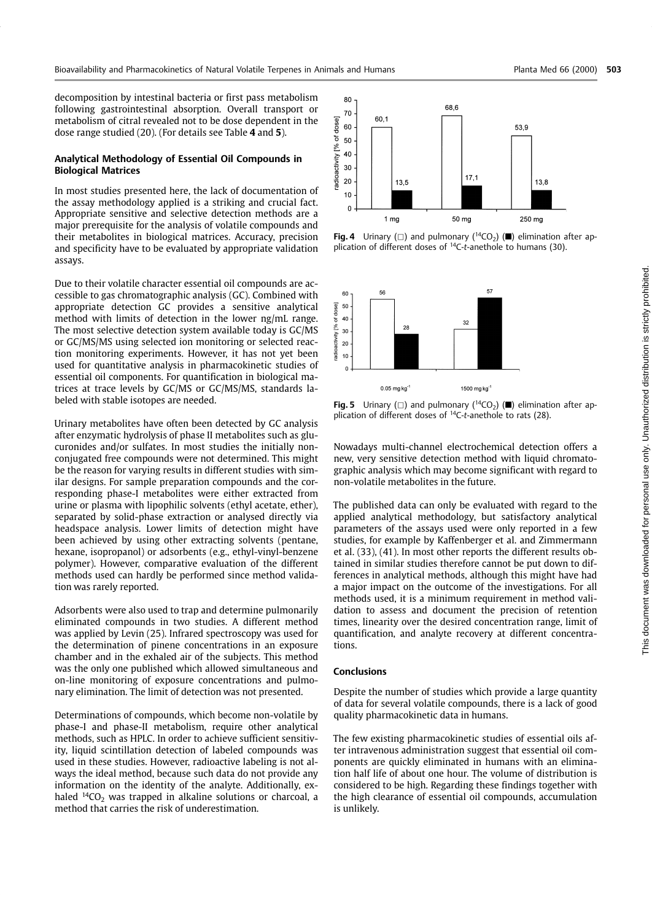decomposition by intestinal bacteria or first pass metabolism following gastrointestinal absorption. Overall transport or metabolism of citral revealed not to be dose dependent in the dose range studied (20). (For details see Table 4 and 5).

## Analytical Methodology of Essential Oil Compounds in **Biological Matrices**

In most studies presented here, the lack of documentation of the assay methodology applied is a striking and crucial fact. Appropriate sensitive and selective detection methods are a major prerequisite for the analysis of volatile compounds and their metabolites in biological matrices. Accuracy, precision and specificity have to be evaluated by appropriate validation assays.

Due to their volatile character essential oil compounds are accessible to gas chromatographic analysis (GC). Combined with appropriate detection GC provides a sensitive analytical method with limits of detection in the lower ng/mL range. The most selective detection system available today is GC/MS or GC/MS/MS using selected ion monitoring or selected reaction monitoring experiments. However, it has not yet been used for quantitative analysis in pharmacokinetic studies of essential oil components. For quantification in biological matrices at trace levels by GC/MS or GC/MS/MS, standards labeled with stable isotopes are needed.

Urinary metabolites have often been detected by GC analysis after enzymatic hydrolysis of phase II metabolites such as glucuronides and/or sulfates. In most studies the initially nonconjugated free compounds were not determined. This might be the reason for varying results in different studies with similar designs. For sample preparation compounds and the corresponding phase-I metabolites were either extracted from urine or plasma with lipophilic solvents (ethyl acetate, ether), separated by solid-phase extraction or analysed directly via headspace analysis. Lower limits of detection might have been achieved by using other extracting solvents (pentane, hexane, isopropanol) or adsorbents (e.g., ethyl-vinyl-benzene polymer). However, comparative evaluation of the different methods used can hardly be performed since method validation was rarely reported.

Adsorbents were also used to trap and determine pulmonarily eliminated compounds in two studies. A different method was applied by Levin (25). Infrared spectroscopy was used for the determination of pinene concentrations in an exposure chamber and in the exhaled air of the subiects. This method was the only one published which allowed simultaneous and on-line monitoring of exposure concentrations and pulmonary elimination. The limit of detection was not presented.

Determinations of compounds, which become non-volatile by phase-I and phase-II metabolism, require other analytical methods, such as HPLC. In order to achieve sufficient sensitivity, liquid scintillation detection of labeled compounds was used in these studies. However, radioactive labeling is not always the ideal method, because such data do not provide any information on the identity of the analyte. Additionally, exhaled  $^{14}CO_2$  was trapped in alkaline solutions or charcoal, a method that carries the risk of underestimation.



**Fig. 4** Urinary ( $\Box$ ) and pulmonary ( $^{14}CO<sub>2</sub>$ ) ( $\blacksquare$ ) elimination after application of different doses of  $^{14}$ C-t-anethole to humans (30).



**Fig. 5** Urinary ( $\Box$ ) and pulmonary ( $^{14}CO_2$ ) ( $\blacksquare$ ) elimination after application of different doses of <sup>14</sup>C-t-anethole to rats (28).

Nowadays multi-channel electrochemical detection offers a new, very sensitive detection method with liquid chromatographic analysis which may become significant with regard to non-volatile metabolites in the future.

The published data can only be evaluated with regard to the applied analytical methodology, but satisfactory analytical parameters of the assays used were only reported in a few studies, for example by Kaffenberger et al. and Zimmermann et al. (33), (41). In most other reports the different results obtained in similar studies therefore cannot be put down to differences in analytical methods, although this might have had a major impact on the outcome of the investigations. For all methods used, it is a minimum requirement in method validation to assess and document the precision of retention times, linearity over the desired concentration range, limit of quantification, and analyte recovery at different concentrations.

#### **Conclusions**

Despite the number of studies which provide a large quantity of data for several volatile compounds, there is a lack of good quality pharmacokinetic data in humans.

The few existing pharmacokinetic studies of essential oils after intravenous administration suggest that essential oil components are quickly eliminated in humans with an elimination half life of about one hour. The volume of distribution is considered to be high. Regarding these findings together with the high clearance of essential oil compounds, accumulation is unlikely.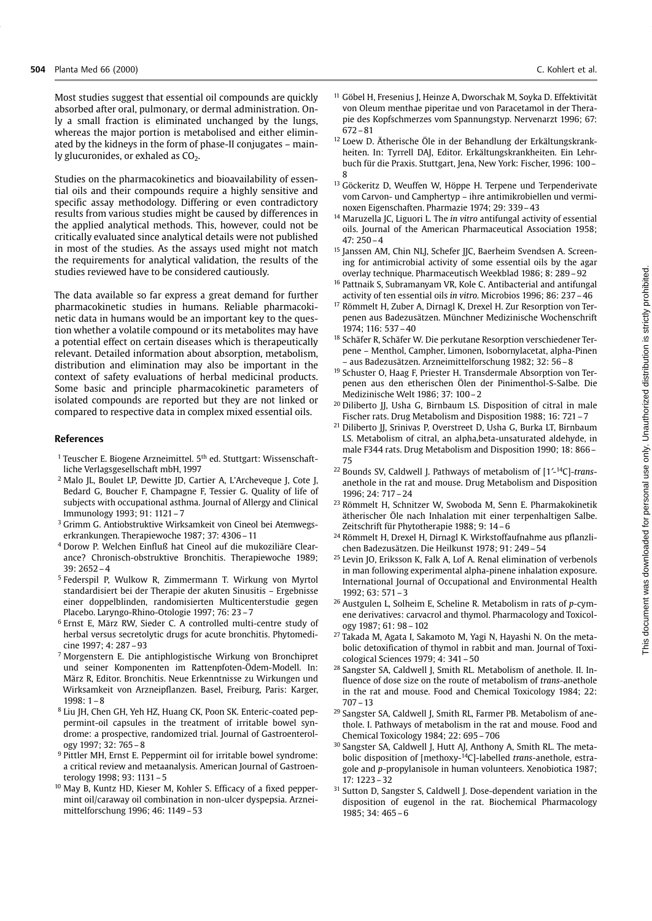Most studies suggest that essential oil compounds are quickly absorbed after oral, pulmonary, or dermal administration. Only a small fraction is eliminated unchanged by the lungs, whereas the major portion is metabolised and either eliminated by the kidneys in the form of phase-II conjugates – mainly glucuronides, or exhaled as CO<sub>2</sub>.

Studies on the pharmacokinetics and bioavailability of essential oils and their compounds require a highly sensitive and specific assay methodology. Differing or even contradictory results from various studies might be caused by differences in the applied analytical methods. This, however, could not be critically evaluated since analytical details were not published in most of the studies. As the assays used might not match the requirements for analytical validation, the results of the studies reviewed have to be considered cautiously.

The data available so far express a great demand for further pharmacokinetic studies in humans. Reliable pharmacokinetic data in humans would be an important key to the question whether a volatile compound or its metabolites may have a potential effect on certain diseases which is therapeutically relevant. Detailed information about absorption, metabolism, distribution and elimination may also be important in the context of safety evaluations of herbal medicinal products. Some basic and principle pharmacokinetic parameters of isolated compounds are reported but they are not linked or compared to respective data in complex mixed essential oils.

# **References**

- <sup>1</sup> Teuscher E. Biogene Arzneimittel. 5<sup>th</sup> ed. Stuttgart: Wissenschaftliche Verlagsgesellschaft mbH, 1997
- <sup>2</sup> Malo JL, Boulet LP, Dewitte JD, Cartier A, L'Archeveque J, Cote J, Bedard G, Boucher F, Champagne F, Tessier G. Quality of life of subjects with occupational asthma. Journal of Allergy and Clinical Immunology 1993; 91: 1121-7
- <sup>3</sup> Grimm G. Antiobstruktive Wirksamkeit von Cineol bei Atemwegserkrankungen. Therapiewoche 1987; 37: 4306 - 11
- <sup>4</sup> Dorow P. Welchen Einfluß hat Cineol auf die mukoziliäre Clearance? Chronisch-obstruktive Bronchitis. Therapiewoche 1989;  $39:2652-4$
- <sup>5</sup> Federspil P, Wulkow R, Zimmermann T. Wirkung von Myrtol standardisiert bei der Therapie der akuten Sinusitis - Ergebnisse einer doppelblinden, randomisierten Multicenterstudie gegen Placebo. Laryngo-Rhino-Otologie 1997; 76: 23-7
- <sup>6</sup> Ernst E. März RW. Sieder C. A controlled multi-centre study of herbal versus secretolytic drugs for acute bronchitis. Phytomedicine 1997: 4: 287-93
- Morgenstern E. Die antiphlogistische Wirkung von Bronchipret und seiner Komponenten im Rattenpfoten-Ödem-Modell. In: März R. Editor, Bronchitis, Neue Erkenntnisse zu Wirkungen und Wirksamkeit von Arzneipflanzen. Basel, Freiburg, Paris: Karger,  $1998:1-8$
- <sup>8</sup> Liu JH, Chen GH, Yeh HZ, Huang CK, Poon SK. Enteric-coated peppermint-oil capsules in the treatment of irritable bowel syndrome: a prospective, randomized trial. Journal of Gastroenterology 1997; 32: 765-8
- <sup>9</sup> Pittler MH, Ernst E. Peppermint oil for irritable bowel syndrome: a critical review and metaanalysis. American Journal of Gastroenterology 1998; 93: 1131-5
- <sup>10</sup> May B, Kuntz HD, Kieser M, Kohler S. Efficacy of a fixed peppermint oil/caraway oil combination in non-ulcer dyspepsia. Arzneimittelforschung 1996: 46: 1149-53
- <sup>11</sup> Göbel H, Fresenius J, Heinze A, Dworschak M, Soyka D. Effektivität von Oleum menthae piperitae und von Paracetamol in der Therapie des Kopfschmerzes vom Spannungstyp. Nervenarzt 1996; 67:  $672 - 81$
- <sup>12</sup> Loew D. Ätherische Öle in der Behandlung der Erkältungskrankheiten. In: Tyrrell DAJ, Editor. Erkältungskrankheiten. Ein Lehrbuch für die Praxis. Stuttgart, Jena, New York: Fischer, 1996: 100-
- <sup>13</sup> Göckeritz D, Weuffen W, Höppe H. Terpene und Terpenderivate vom Carvon- und Camphertyp - ihre antimikrobiellen und verminoxen Eigenschaften. Pharmazie 1974; 29: 339-43
- <sup>14</sup> Maruzella IC. Liguori L. The *in vitro* antifungal activity of essential oils. Journal of the American Pharmaceutical Association 1958;  $47.250 - 4$
- <sup>15</sup> Janssen AM, Chin NLJ, Schefer JJC, Baerheim Svendsen A. Screening for antimicrobial activity of some essential oils by the agar overlav technique. Pharmaceutisch Weekblad 1986: 8: 289-92
- <sup>16</sup> Pattnaik S, Subramanyam VR, Kole C. Antibacterial and antifungal activity of ten essential oils in vitro. Microbios 1996; 86: 237-46
- <sup>17</sup> Römmelt H, Zuber A, Dirnagl K, Drexel H. Zur Resorption von Terpenen aus Badezusätzen. Münchner Medizinische Wochenschrift 1974; 116: 537 - 40
- <sup>18</sup> Schäfer R, Schäfer W. Die perkutane Resorption verschiedener Terpene - Menthol, Campher, Limonen, Isobornylacetat, alpha-Pinen - aus Badezusätzen. Arzneimittelforschung 1982; 32: 56 - 8
- <sup>19</sup> Schuster O, Haag F, Priester H. Transdermale Absorption von Terpenen aus den etherischen Ölen der Pinimenthol-S-Salbe. Die Medizinische Welt 1986; 37: 100-2
- <sup>20</sup> Diliberto II. Usha G, Birnbaum LS. Disposition of citral in male Fischer rats. Drug Metabolism and Disposition 1988; 16: 721-7
- <sup>21</sup> Diliberto JJ, Srinivas P, Overstreet D, Usha G, Burka LT, Birnbaum LS. Metabolism of citral, an alpha, beta-unsaturated aldehyde, in male F344 rats. Drug Metabolism and Disposition 1990; 18: 866 -75
- <sup>22</sup> Bounds SV, Caldwell J. Pathways of metabolism of [1'-<sup>14</sup>C]-transanethole in the rat and mouse. Drug Metabolism and Disposition 1996; 24: 717-24
- <sup>23</sup> Römmelt H, Schnitzer W, Swoboda M, Senn E. Pharmakokinetik ätherischer Öle nach Inhalation mit einer terpenhaltigen Salbe. Zeitschrift für Phytotherapie 1988; 9: 14-6
- <sup>24</sup> Römmelt H. Drexel H. Dirnagl K. Wirkstoffaufnahme aus pflanzlichen Badezusätzen. Die Heilkunst 1978; 91: 249-54
- <sup>25</sup> Levin JO, Eriksson K, Falk A, Lof A. Renal elimination of verbenols in man following experimental alpha-pinene inhalation exposure. International Journal of Occupational and Environmental Health  $1992:63:571-3$
- <sup>26</sup> Austgulen L, Solheim E, Scheline R. Metabolism in rats of  $p$ -cymene derivatives: carvacrol and thymol. Pharmacology and Toxicology 1987; 61: 98 - 102
- <sup>27</sup> Takada M, Agata I, Sakamoto M, Yagi N, Hayashi N. On the metabolic detoxification of thymol in rabbit and man. Journal of Toxicological Sciences 1979; 4: 341-50
- <sup>28</sup> Sangster SA, Caldwell J, Smith RL. Metabolism of anethole. II. Influence of dose size on the route of metabolism of trans-anethole in the rat and mouse. Food and Chemical Toxicology 1984: 22:  $707 - 13$
- <sup>29</sup> Sangster SA, Caldwell J, Smith RL, Farmer PB. Metabolism of anethole. I. Pathways of metabolism in the rat and mouse. Food and Chemical Toxicology 1984; 22: 695-706
- <sup>30</sup> Sangster SA, Caldwell J, Hutt AJ, Anthony A, Smith RL. The metabolic disposition of [methoxy-<sup>14</sup>C]-labelled trans-anethole, estragole and p-propylanisole in human volunteers. Xenobiotica 1987;  $17: 1223 - 32$
- <sup>31</sup> Sutton D, Sangster S, Caldwell J. Dose-dependent variation in the disposition of eugenol in the rat. Biochemical Pharmacology 1985; 34: 465-6